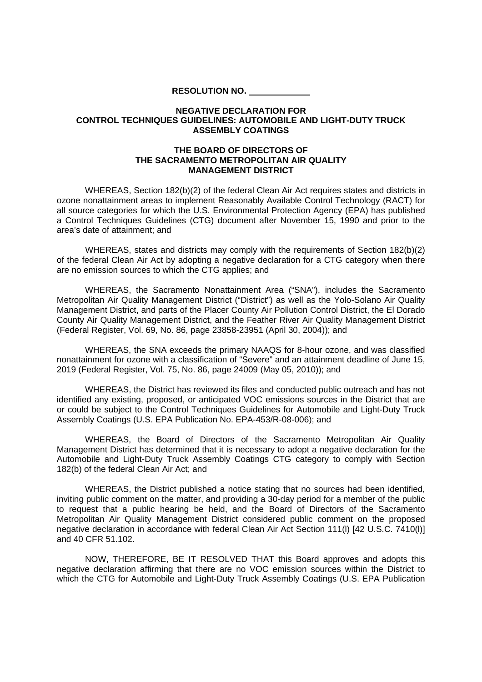**RESOLUTION NO.**

## **NEGATIVE DECLARATION FOR CONTROL TECHNIQUES GUIDELINES: AUTOMOBILE AND LIGHT-DUTY TRUCK ASSEMBLY COATINGS**

## **THE BOARD OF DIRECTORS OF THE SACRAMENTO METROPOLITAN AIR QUALITY MANAGEMENT DISTRICT**

WHEREAS, Section 182(b)(2) of the federal Clean Air Act requires states and districts in ozone nonattainment areas to implement Reasonably Available Control Technology (RACT) for all source categories for which the U.S. Environmental Protection Agency (EPA) has published a Control Techniques Guidelines (CTG) document after November 15, 1990 and prior to the area's date of attainment; and

WHEREAS, states and districts may comply with the requirements of Section 182(b)(2) of the federal Clean Air Act by adopting a negative declaration for a CTG category when there are no emission sources to which the CTG applies; and

WHEREAS, the Sacramento Nonattainment Area ("SNA"), includes the Sacramento Metropolitan Air Quality Management District ("District") as well as the Yolo-Solano Air Quality Management District, and parts of the Placer County Air Pollution Control District, the El Dorado County Air Quality Management District, and the Feather River Air Quality Management District (Federal Register, Vol. 69, No. 86, page 23858-23951 (April 30, 2004)); and

WHEREAS, the SNA exceeds the primary NAAQS for 8-hour ozone, and was classified nonattainment for ozone with a classification of "Severe" and an attainment deadline of June 15, 2019 (Federal Register, Vol. 75, No. 86, page 24009 (May 05, 2010)); and

WHEREAS, the District has reviewed its files and conducted public outreach and has not identified any existing, proposed, or anticipated VOC emissions sources in the District that are or could be subject to the Control Techniques Guidelines for Automobile and Light-Duty Truck Assembly Coatings (U.S. EPA Publication No. EPA-453/R-08-006); and

WHEREAS, the Board of Directors of the Sacramento Metropolitan Air Quality Management District has determined that it is necessary to adopt a negative declaration for the Automobile and Light-Duty Truck Assembly Coatings CTG category to comply with Section 182(b) of the federal Clean Air Act; and

WHEREAS, the District published a notice stating that no sources had been identified, inviting public comment on the matter, and providing a 30-day period for a member of the public to request that a public hearing be held, and the Board of Directors of the Sacramento Metropolitan Air Quality Management District considered public comment on the proposed negative declaration in accordance with federal Clean Air Act Section 111(l) [42 U.S.C. 7410(l)] and 40 CFR 51.102.

NOW, THEREFORE, BE IT RESOLVED THAT this Board approves and adopts this negative declaration affirming that there are no VOC emission sources within the District to which the CTG for Automobile and Light-Duty Truck Assembly Coatings (U.S. EPA Publication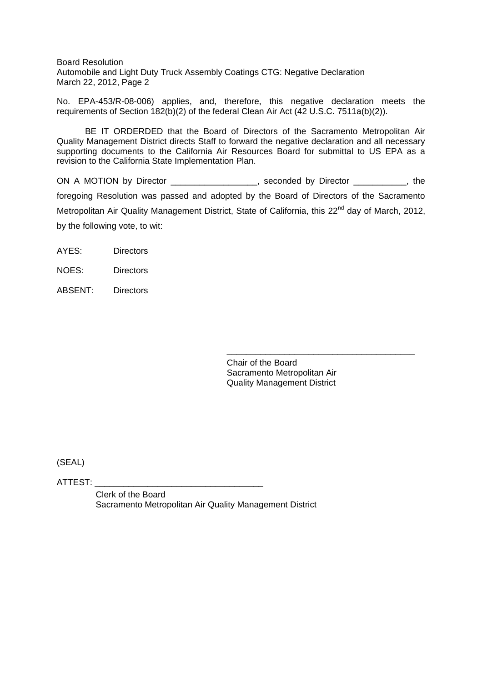Board Resolution Automobile and Light Duty Truck Assembly Coatings CTG: Negative Declaration March 22, 2012, Page 2

No. EPA-453/R-08-006) applies, and, therefore, this negative declaration meets the requirements of Section 182(b)(2) of the federal Clean Air Act (42 U.S.C. 7511a(b)(2)).

BE IT ORDERDED that the Board of Directors of the Sacramento Metropolitan Air Quality Management District directs Staff to forward the negative declaration and all necessary supporting documents to the California Air Resources Board for submittal to US EPA as a revision to the California State Implementation Plan.

ON A MOTION by Director \_\_\_\_\_\_\_\_\_\_\_\_\_\_\_\_, seconded by Director \_\_\_\_\_\_\_\_, the foregoing Resolution was passed and adopted by the Board of Directors of the Sacramento Metropolitan Air Quality Management District, State of California, this 22<sup>nd</sup> day of March, 2012, by the following vote, to wit:

- AYES: Directors
- NOES: Directors
- ABSENT: Directors

Chair of the Board Sacramento Metropolitan Air Quality Management District

\_\_\_\_\_\_\_\_\_\_\_\_\_\_\_\_\_\_\_\_\_\_\_\_\_\_\_\_\_\_\_\_\_\_\_\_\_\_\_

(SEAL)

ATTEST: \_\_\_\_\_\_\_\_\_\_\_\_\_\_\_\_\_\_\_\_\_\_\_\_\_\_\_\_\_\_\_\_\_\_\_

Clerk of the Board Sacramento Metropolitan Air Quality Management District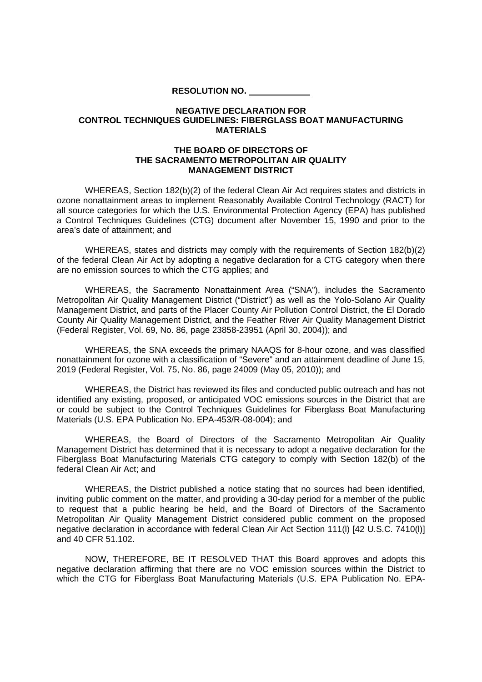**RESOLUTION NO.**

## **NEGATIVE DECLARATION FOR CONTROL TECHNIQUES GUIDELINES: FIBERGLASS BOAT MANUFACTURING MATERIALS**

## **THE BOARD OF DIRECTORS OF THE SACRAMENTO METROPOLITAN AIR QUALITY MANAGEMENT DISTRICT**

WHEREAS, Section 182(b)(2) of the federal Clean Air Act requires states and districts in ozone nonattainment areas to implement Reasonably Available Control Technology (RACT) for all source categories for which the U.S. Environmental Protection Agency (EPA) has published a Control Techniques Guidelines (CTG) document after November 15, 1990 and prior to the area's date of attainment; and

WHEREAS, states and districts may comply with the requirements of Section 182(b)(2) of the federal Clean Air Act by adopting a negative declaration for a CTG category when there are no emission sources to which the CTG applies; and

WHEREAS, the Sacramento Nonattainment Area ("SNA"), includes the Sacramento Metropolitan Air Quality Management District ("District") as well as the Yolo-Solano Air Quality Management District, and parts of the Placer County Air Pollution Control District, the El Dorado County Air Quality Management District, and the Feather River Air Quality Management District (Federal Register, Vol. 69, No. 86, page 23858-23951 (April 30, 2004)); and

WHEREAS, the SNA exceeds the primary NAAQS for 8-hour ozone, and was classified nonattainment for ozone with a classification of "Severe" and an attainment deadline of June 15, 2019 (Federal Register, Vol. 75, No. 86, page 24009 (May 05, 2010)); and

WHEREAS, the District has reviewed its files and conducted public outreach and has not identified any existing, proposed, or anticipated VOC emissions sources in the District that are or could be subject to the Control Techniques Guidelines for Fiberglass Boat Manufacturing Materials (U.S. EPA Publication No. EPA-453/R-08-004); and

WHEREAS, the Board of Directors of the Sacramento Metropolitan Air Quality Management District has determined that it is necessary to adopt a negative declaration for the Fiberglass Boat Manufacturing Materials CTG category to comply with Section 182(b) of the federal Clean Air Act; and

WHEREAS, the District published a notice stating that no sources had been identified, inviting public comment on the matter, and providing a 30-day period for a member of the public to request that a public hearing be held, and the Board of Directors of the Sacramento Metropolitan Air Quality Management District considered public comment on the proposed negative declaration in accordance with federal Clean Air Act Section 111(l) [42 U.S.C. 7410(l)] and 40 CFR 51.102.

NOW, THEREFORE, BE IT RESOLVED THAT this Board approves and adopts this negative declaration affirming that there are no VOC emission sources within the District to which the CTG for Fiberglass Boat Manufacturing Materials (U.S. EPA Publication No. EPA-